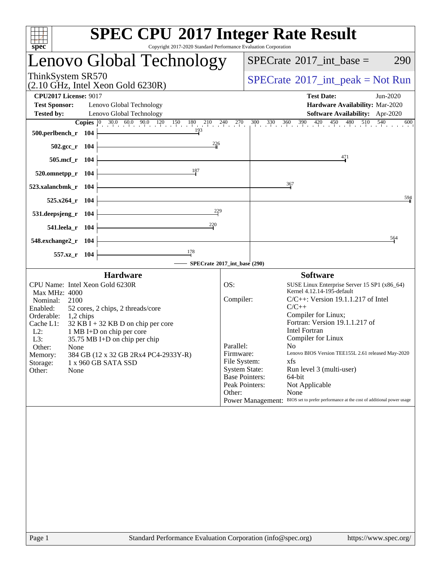| <b>SPEC CPU®2017 Integer Rate Result</b><br>Copyright 2017-2020 Standard Performance Evaluation Corporation<br>spec <sup>®</sup>                                                                                                                                                                                                                                                                                                         |                                                                      |                                                                                                                                                                                                                                                                                                                                                                                                                                                                                                                                                          |
|------------------------------------------------------------------------------------------------------------------------------------------------------------------------------------------------------------------------------------------------------------------------------------------------------------------------------------------------------------------------------------------------------------------------------------------|----------------------------------------------------------------------|----------------------------------------------------------------------------------------------------------------------------------------------------------------------------------------------------------------------------------------------------------------------------------------------------------------------------------------------------------------------------------------------------------------------------------------------------------------------------------------------------------------------------------------------------------|
| Lenovo Global Technology                                                                                                                                                                                                                                                                                                                                                                                                                 |                                                                      | $SPECrate^{\circledast}2017\_int\_base =$<br>290                                                                                                                                                                                                                                                                                                                                                                                                                                                                                                         |
| ThinkSystem SR570<br>$(2.10 \text{ GHz}, \text{Intel Xeon Gold } 6230\text{R})$                                                                                                                                                                                                                                                                                                                                                          |                                                                      | $SPECTate@2017_int\_peak = Not Run$                                                                                                                                                                                                                                                                                                                                                                                                                                                                                                                      |
| <b>CPU2017 License: 9017</b><br><b>Test Sponsor:</b><br>Lenovo Global Technology<br><b>Tested by:</b><br>Lenovo Global Technology                                                                                                                                                                                                                                                                                                        |                                                                      | <b>Test Date:</b><br>Jun-2020<br>Hardware Availability: Mar-2020<br>Software Availability: Apr-2020<br><b>Copies</b> $\begin{bmatrix} 0 & 30.0 & 60.0 & 90.0 & 120 & 150 & 180 & 210 & 240 & 270 & 300 & 330 & 360 & 390 & 420 & 450 & 480 & 510 & 540 & 600 \end{bmatrix}$                                                                                                                                                                                                                                                                              |
| 193<br><u> 1989 - Johann Stoff, Amerikaansk politiker (</u><br>500.perlbench_r 104<br>226<br><u> 1980 - Johann Barn, mars an t-Amerikaansk kommunister (</u><br>502.gcc_r 104                                                                                                                                                                                                                                                            |                                                                      |                                                                                                                                                                                                                                                                                                                                                                                                                                                                                                                                                          |
| 505.mcf_r 104                                                                                                                                                                                                                                                                                                                                                                                                                            |                                                                      | 471                                                                                                                                                                                                                                                                                                                                                                                                                                                                                                                                                      |
| $\frac{187}{2}$<br>$520.0$ mnetpp_r 104                                                                                                                                                                                                                                                                                                                                                                                                  |                                                                      |                                                                                                                                                                                                                                                                                                                                                                                                                                                                                                                                                          |
| 523.xalancbmk_r 104                                                                                                                                                                                                                                                                                                                                                                                                                      |                                                                      | 367                                                                                                                                                                                                                                                                                                                                                                                                                                                                                                                                                      |
| $525.x264_r$ 104<br>229<br><u> 1989 - Johann Barbara, martxa alemaniar a</u><br>531.deepsjeng_r 104                                                                                                                                                                                                                                                                                                                                      |                                                                      | 594                                                                                                                                                                                                                                                                                                                                                                                                                                                                                                                                                      |
| $\frac{220}{1}$<br>541.leela_r 104                                                                                                                                                                                                                                                                                                                                                                                                       |                                                                      |                                                                                                                                                                                                                                                                                                                                                                                                                                                                                                                                                          |
| 548.exchange2_r 104                                                                                                                                                                                                                                                                                                                                                                                                                      |                                                                      | 564                                                                                                                                                                                                                                                                                                                                                                                                                                                                                                                                                      |
| $\frac{178}{1}$<br>557.xz_r 104<br>SPECrate®2017_int_base (290)                                                                                                                                                                                                                                                                                                                                                                          |                                                                      |                                                                                                                                                                                                                                                                                                                                                                                                                                                                                                                                                          |
| <b>Hardware</b><br>CPU Name: Intel Xeon Gold 6230R<br><b>Max MHz: 4000</b><br>Nominal:<br>2100<br>Enabled:<br>52 cores, 2 chips, 2 threads/core<br>Orderable:<br>1,2 chips<br>Cache L1:<br>$32$ KB I + 32 KB D on chip per core<br>$L2$ :<br>1 MB I+D on chip per core<br>35.75 MB I+D on chip per chip<br>L3:<br>Other:<br>None<br>384 GB (12 x 32 GB 2Rx4 PC4-2933Y-R)<br>Memory:<br>Storage:<br>1 x 960 GB SATA SSD<br>Other:<br>None | OS:<br>Compiler:<br>Parallel:<br>Firmware:<br>File System:<br>Other: | <b>Software</b><br>SUSE Linux Enterprise Server 15 SP1 (x86_64)<br>Kernel 4.12.14-195-default<br>$C/C++$ : Version 19.1.1.217 of Intel<br>$C/C++$<br>Compiler for Linux;<br>Fortran: Version 19.1.1.217 of<br><b>Intel Fortran</b><br>Compiler for Linux<br>No<br>Lenovo BIOS Version TEE155L 2.61 released May-2020<br>xfs<br><b>System State:</b><br>Run level 3 (multi-user)<br><b>Base Pointers:</b><br>64-bit<br>Peak Pointers:<br>Not Applicable<br>None<br>Power Management: BIOS set to prefer performance at the cost of additional power usage |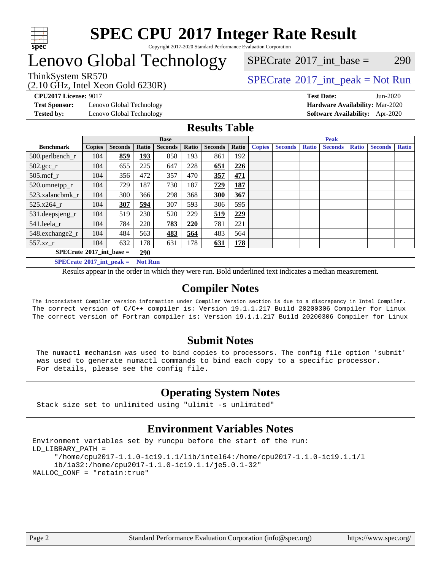

#### **[SPEC CPU](http://www.spec.org/auto/cpu2017/Docs/result-fields.html#SPECCPU2017IntegerRateResult)[2017 Integer Rate Result](http://www.spec.org/auto/cpu2017/Docs/result-fields.html#SPECCPU2017IntegerRateResult)** Copyright 2017-2020 Standard Performance Evaluation Corporation

# Lenovo Global Technology

(2.10 GHz, Intel Xeon Gold 6230R)

ThinkSystem SR570<br>  $SPECTA = Not Run$ <br>  $SPECTA = Not Run$ 

 $SPECTate$ <sup>®</sup>[2017\\_int\\_base =](http://www.spec.org/auto/cpu2017/Docs/result-fields.html#SPECrate2017intbase) 290

**[Test Sponsor:](http://www.spec.org/auto/cpu2017/Docs/result-fields.html#TestSponsor)** Lenovo Global Technology **[Hardware Availability:](http://www.spec.org/auto/cpu2017/Docs/result-fields.html#HardwareAvailability)** Mar-2020

**[CPU2017 License:](http://www.spec.org/auto/cpu2017/Docs/result-fields.html#CPU2017License)** 9017 **[Test Date:](http://www.spec.org/auto/cpu2017/Docs/result-fields.html#TestDate)** Jun-2020 **[Tested by:](http://www.spec.org/auto/cpu2017/Docs/result-fields.html#Testedby)** Lenovo Global Technology **[Software Availability:](http://www.spec.org/auto/cpu2017/Docs/result-fields.html#SoftwareAvailability)** Apr-2020

#### **[Results Table](http://www.spec.org/auto/cpu2017/Docs/result-fields.html#ResultsTable)**

|                                   | <b>Base</b>   |                |                |                |       |                |       | <b>Peak</b>   |                |              |                |              |                |              |
|-----------------------------------|---------------|----------------|----------------|----------------|-------|----------------|-------|---------------|----------------|--------------|----------------|--------------|----------------|--------------|
| <b>Benchmark</b>                  | <b>Copies</b> | <b>Seconds</b> | Ratio          | <b>Seconds</b> | Ratio | <b>Seconds</b> | Ratio | <b>Copies</b> | <b>Seconds</b> | <b>Ratio</b> | <b>Seconds</b> | <b>Ratio</b> | <b>Seconds</b> | <b>Ratio</b> |
| 500.perlbench_r                   | 104           | 859            | 193            | 858            | 193   | 861            | 192   |               |                |              |                |              |                |              |
| $502.\text{gcc}$ <sub>r</sub>     | 104           | 655            | 225            | 647            | 228   | 651            | 226   |               |                |              |                |              |                |              |
| $505$ .mcf r                      | 104           | 356            | 472            | 357            | 470   | 357            | 471   |               |                |              |                |              |                |              |
| 520.omnetpp_r                     | 104           | 729            | 187            | 730            | 187   | 729            | 187   |               |                |              |                |              |                |              |
| 523.xalancbmk r                   | 104           | 300            | 366            | 298            | 368   | 300            | 367   |               |                |              |                |              |                |              |
| 525.x264 r                        | 104           | 307            | 594            | 307            | 593   | 306            | 595   |               |                |              |                |              |                |              |
| 531.deepsjeng_r                   | 104           | 519            | 230            | 520            | 229   | 519            | 229   |               |                |              |                |              |                |              |
| 541.leela r                       | 104           | 784            | 220            | 783            | 220   | 781            | 221   |               |                |              |                |              |                |              |
| 548.exchange2_r                   | 104           | 484            | 563            | 483            | 564   | 483            | 564   |               |                |              |                |              |                |              |
| 557.xz r                          | 104           | 632            | 178            | 631            | 178   | 631            | 178   |               |                |              |                |              |                |              |
| $SPECrate^{\circ}2017$ int base = |               |                | <b>290</b>     |                |       |                |       |               |                |              |                |              |                |              |
| $SPECrate^{\circ}2017$ int peak = |               |                | <b>Not Run</b> |                |       |                |       |               |                |              |                |              |                |              |

Results appear in the [order in which they were run](http://www.spec.org/auto/cpu2017/Docs/result-fields.html#RunOrder). Bold underlined text [indicates a median measurement](http://www.spec.org/auto/cpu2017/Docs/result-fields.html#Median).

#### **[Compiler Notes](http://www.spec.org/auto/cpu2017/Docs/result-fields.html#CompilerNotes)**

The inconsistent Compiler version information under Compiler Version section is due to a discrepancy in Intel Compiler. The correct version of C/C++ compiler is: Version 19.1.1.217 Build 20200306 Compiler for Linux The correct version of Fortran compiler is: Version 19.1.1.217 Build 20200306 Compiler for Linux

#### **[Submit Notes](http://www.spec.org/auto/cpu2017/Docs/result-fields.html#SubmitNotes)**

 The numactl mechanism was used to bind copies to processors. The config file option 'submit' was used to generate numactl commands to bind each copy to a specific processor. For details, please see the config file.

### **[Operating System Notes](http://www.spec.org/auto/cpu2017/Docs/result-fields.html#OperatingSystemNotes)**

Stack size set to unlimited using "ulimit -s unlimited"

#### **[Environment Variables Notes](http://www.spec.org/auto/cpu2017/Docs/result-fields.html#EnvironmentVariablesNotes)**

```
Environment variables set by runcpu before the start of the run:
LD_LIBRARY_PATH =
      "/home/cpu2017-1.1.0-ic19.1.1/lib/intel64:/home/cpu2017-1.1.0-ic19.1.1/l
      ib/ia32:/home/cpu2017-1.1.0-ic19.1.1/je5.0.1-32"
MALLOC_CONF = "retain:true"
```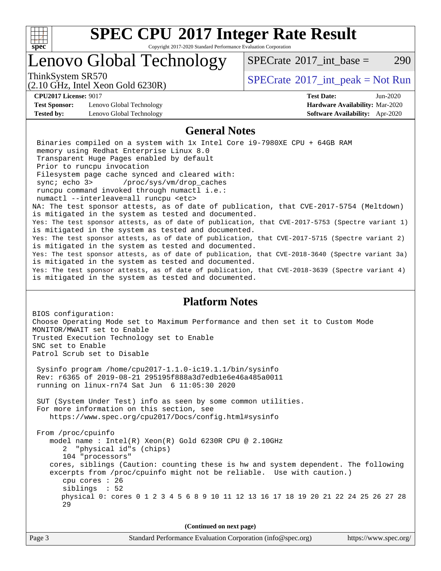

Copyright 2017-2020 Standard Performance Evaluation Corporation

# Lenovo Global Technology

ThinkSystem SR570<br>  $SPECTA = Not Run$ <br>  $SPECTA = Not Run$ 

 $SPECTate@2017$  int base = 290

#### (2.10 GHz, Intel Xeon Gold 6230R)

**[CPU2017 License:](http://www.spec.org/auto/cpu2017/Docs/result-fields.html#CPU2017License)** 9017 **[Test Date:](http://www.spec.org/auto/cpu2017/Docs/result-fields.html#TestDate)** Jun-2020 **[Test Sponsor:](http://www.spec.org/auto/cpu2017/Docs/result-fields.html#TestSponsor)** Lenovo Global Technology **[Hardware Availability:](http://www.spec.org/auto/cpu2017/Docs/result-fields.html#HardwareAvailability)** Mar-2020 **[Tested by:](http://www.spec.org/auto/cpu2017/Docs/result-fields.html#Testedby)** Lenovo Global Technology **[Software Availability:](http://www.spec.org/auto/cpu2017/Docs/result-fields.html#SoftwareAvailability)** Apr-2020

#### **[General Notes](http://www.spec.org/auto/cpu2017/Docs/result-fields.html#GeneralNotes)**

 Binaries compiled on a system with 1x Intel Core i9-7980XE CPU + 64GB RAM memory using Redhat Enterprise Linux 8.0 Transparent Huge Pages enabled by default Prior to runcpu invocation Filesystem page cache synced and cleared with: sync; echo 3> /proc/sys/vm/drop\_caches runcpu command invoked through numactl i.e.: numactl --interleave=all runcpu <etc> NA: The test sponsor attests, as of date of publication, that CVE-2017-5754 (Meltdown) is mitigated in the system as tested and documented. Yes: The test sponsor attests, as of date of publication, that CVE-2017-5753 (Spectre variant 1) is mitigated in the system as tested and documented. Yes: The test sponsor attests, as of date of publication, that CVE-2017-5715 (Spectre variant 2) is mitigated in the system as tested and documented. Yes: The test sponsor attests, as of date of publication, that CVE-2018-3640 (Spectre variant 3a) is mitigated in the system as tested and documented. Yes: The test sponsor attests, as of date of publication, that CVE-2018-3639 (Spectre variant 4) is mitigated in the system as tested and documented.

#### **[Platform Notes](http://www.spec.org/auto/cpu2017/Docs/result-fields.html#PlatformNotes)**

BIOS configuration: Choose Operating Mode set to Maximum Performance and then set it to Custom Mode MONITOR/MWAIT set to Enable Trusted Execution Technology set to Enable SNC set to Enable Patrol Scrub set to Disable

 Sysinfo program /home/cpu2017-1.1.0-ic19.1.1/bin/sysinfo Rev: r6365 of 2019-08-21 295195f888a3d7edb1e6e46a485a0011 running on linux-rn74 Sat Jun 6 11:05:30 2020

 SUT (System Under Test) info as seen by some common utilities. For more information on this section, see <https://www.spec.org/cpu2017/Docs/config.html#sysinfo>

 From /proc/cpuinfo model name : Intel(R) Xeon(R) Gold 6230R CPU @ 2.10GHz 2 "physical id"s (chips) 104 "processors" cores, siblings (Caution: counting these is hw and system dependent. The following excerpts from /proc/cpuinfo might not be reliable. Use with caution.) cpu cores : 26 siblings : 52 physical 0: cores 0 1 2 3 4 5 6 8 9 10 11 12 13 16 17 18 19 20 21 22 24 25 26 27 28 29

**(Continued on next page)**

|        | $($ commence on noise page)                                 |                       |
|--------|-------------------------------------------------------------|-----------------------|
| Page 3 | Standard Performance Evaluation Corporation (info@spec.org) | https://www.spec.org/ |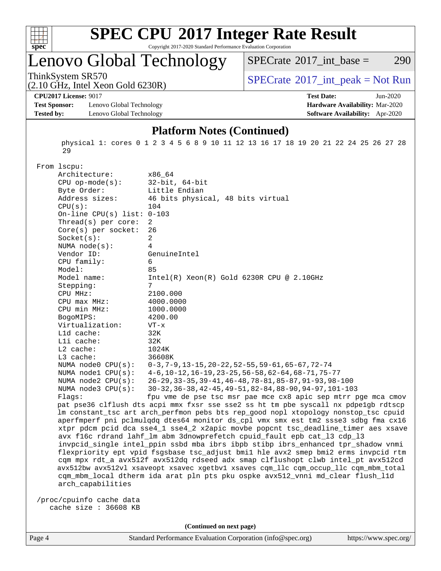

Copyright 2017-2020 Standard Performance Evaluation Corporation

Lenovo Global Technology

 $SPECTate$ <sup>®</sup>[2017\\_int\\_base =](http://www.spec.org/auto/cpu2017/Docs/result-fields.html#SPECrate2017intbase) 290

(2.10 GHz, Intel Xeon Gold 6230R)

ThinkSystem SR570<br>  $(2.10 \text{ GHz. Intel } \text{Yoon Gold } 6230P)$  [SPECrate](http://www.spec.org/auto/cpu2017/Docs/result-fields.html#SPECrate2017intpeak)®[2017\\_int\\_peak = N](http://www.spec.org/auto/cpu2017/Docs/result-fields.html#SPECrate2017intpeak)ot Run

**[CPU2017 License:](http://www.spec.org/auto/cpu2017/Docs/result-fields.html#CPU2017License)** 9017 **[Test Date:](http://www.spec.org/auto/cpu2017/Docs/result-fields.html#TestDate)** Jun-2020

**[Test Sponsor:](http://www.spec.org/auto/cpu2017/Docs/result-fields.html#TestSponsor)** Lenovo Global Technology **[Hardware Availability:](http://www.spec.org/auto/cpu2017/Docs/result-fields.html#HardwareAvailability)** Mar-2020 **[Tested by:](http://www.spec.org/auto/cpu2017/Docs/result-fields.html#Testedby)** Lenovo Global Technology **[Software Availability:](http://www.spec.org/auto/cpu2017/Docs/result-fields.html#SoftwareAvailability)** Apr-2020

#### **[Platform Notes \(Continued\)](http://www.spec.org/auto/cpu2017/Docs/result-fields.html#PlatformNotes)**

 physical 1: cores 0 1 2 3 4 5 6 8 9 10 11 12 13 16 17 18 19 20 21 22 24 25 26 27 28 29

From lscpu:

| Architecture:                | x86_64                                                                               |
|------------------------------|--------------------------------------------------------------------------------------|
| $CPU$ op-mode( $s$ ):        | $32$ -bit, $64$ -bit                                                                 |
| Byte Order:                  | Little Endian                                                                        |
| Address sizes:               | 46 bits physical, 48 bits virtual                                                    |
| CPU(s):                      | 104                                                                                  |
| On-line CPU(s) list: $0-103$ |                                                                                      |
| Thread(s) per core:          | 2                                                                                    |
| $Core(s)$ per socket:        | 26                                                                                   |
| Socket(s):                   | $\overline{2}$                                                                       |
| NUMA $node(s):$              | 4                                                                                    |
| Vendor ID:                   | GenuineIntel                                                                         |
| CPU family:                  | 6                                                                                    |
| Model:                       | 85                                                                                   |
| Model name:                  | $Intel(R) Xeon(R) Gold 6230R CPU @ 2.10GHz$                                          |
| Stepping:                    | 7                                                                                    |
| CPU MHz:                     | 2100.000                                                                             |
| CPU max MHz:                 | 4000.0000                                                                            |
| CPU min MHz:                 | 1000.0000                                                                            |
| BogoMIPS:                    | 4200.00                                                                              |
| Virtualization:              | $VT - x$                                                                             |
| L1d cache:                   | 32K                                                                                  |
| Lli cache:                   | 32K                                                                                  |
| L2 cache:                    | 1024K                                                                                |
| $L3$ cache:                  | 36608K                                                                               |
| NUMA node0 CPU(s):           | $0-3, 7-9, 13-15, 20-22, 52-55, 59-61, 65-67, 72-74$                                 |
| NUMA $node1$ $CPU(s)$ :      | 4-6, 10-12, 16-19, 23-25, 56-58, 62-64, 68-71, 75-77                                 |
| NUMA node2 CPU(s):           | 26-29, 33-35, 39-41, 46-48, 78-81, 85-87, 91-93, 98-100                              |
| NUMA $node3$ CPU $(s)$ :     | 30-32, 36-38, 42-45, 49-51, 82-84, 88-90, 94-97, 101-103                             |
| Flags:                       | fpu vme de pse tsc msr pae mce cx8 apic sep mtrr pge mca cmov                        |
|                              | pat pse36 clflush dts acpi mmx fxsr sse sse2 ss ht tm pbe syscall nx pdpelgb rdtscp  |
|                              | lm constant_tsc art arch_perfmon pebs bts rep_good nopl xtopology nonstop_tsc cpuid  |
|                              | aperfmperf pni pclmulqdq dtes64 monitor ds_cpl vmx smx est tm2 ssse3 sdbg fma cx16   |
|                              | xtpr pdcm pcid dca sse4_1 sse4_2 x2apic movbe popcnt tsc_deadline_timer aes xsave    |
|                              | avx f16c rdrand lahf_lm abm 3dnowprefetch cpuid_fault epb cat_13 cdp_13              |
|                              | invpcid_single intel_ppin ssbd mba ibrs ibpb stibp ibrs_enhanced tpr_shadow vnmi     |
|                              | flexpriority ept vpid fsgsbase tsc_adjust bmil hle avx2 smep bmi2 erms invpcid rtm   |
|                              | cqm mpx rdt_a avx512f avx512dq rdseed adx smap clflushopt clwb intel_pt avx512cd     |
|                              | avx512bw avx512vl xsaveopt xsavec xgetbvl xsaves cqm_llc cqm_occup_llc cqm_mbm_total |
|                              | cqm_mbm_local dtherm ida arat pln pts pku ospke avx512_vnni md_clear flush_l1d       |
| arch_capabilities            |                                                                                      |
|                              |                                                                                      |
| /proc/cpuinfo cache data     |                                                                                      |
| cache size $: 36608$ KB      |                                                                                      |

**(Continued on next page)**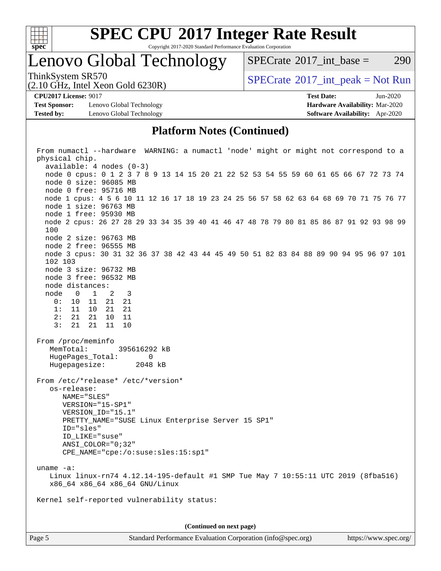

Copyright 2017-2020 Standard Performance Evaluation Corporation

Lenovo Global Technology

 $SPECTate^{\circledcirc}2017$  int base = 290

(2.10 GHz, Intel Xeon Gold 6230R)

ThinkSystem SR570<br>  $SPECTA = Not Run$ <br>  $SPECTA = Not Run$ 

**[Test Sponsor:](http://www.spec.org/auto/cpu2017/Docs/result-fields.html#TestSponsor)** Lenovo Global Technology **[Hardware Availability:](http://www.spec.org/auto/cpu2017/Docs/result-fields.html#HardwareAvailability)** Mar-2020 **[Tested by:](http://www.spec.org/auto/cpu2017/Docs/result-fields.html#Testedby)** Lenovo Global Technology **[Software Availability:](http://www.spec.org/auto/cpu2017/Docs/result-fields.html#SoftwareAvailability)** Apr-2020

**[CPU2017 License:](http://www.spec.org/auto/cpu2017/Docs/result-fields.html#CPU2017License)** 9017 **[Test Date:](http://www.spec.org/auto/cpu2017/Docs/result-fields.html#TestDate)** Jun-2020

#### **[Platform Notes \(Continued\)](http://www.spec.org/auto/cpu2017/Docs/result-fields.html#PlatformNotes)**

 From numactl --hardware WARNING: a numactl 'node' might or might not correspond to a physical chip. available: 4 nodes (0-3) node 0 cpus: 0 1 2 3 7 8 9 13 14 15 20 21 22 52 53 54 55 59 60 61 65 66 67 72 73 74 node 0 size: 96085 MB node 0 free: 95716 MB node 1 cpus: 4 5 6 10 11 12 16 17 18 19 23 24 25 56 57 58 62 63 64 68 69 70 71 75 76 77 node 1 size: 96763 MB node 1 free: 95930 MB node 2 cpus: 26 27 28 29 33 34 35 39 40 41 46 47 48 78 79 80 81 85 86 87 91 92 93 98 99 100 node 2 size: 96763 MB node 2 free: 96555 MB node 3 cpus: 30 31 32 36 37 38 42 43 44 45 49 50 51 82 83 84 88 89 90 94 95 96 97 101 102 103 node 3 size: 96732 MB node 3 free: 96532 MB node distances: node 0 1 2 3 0: 10 11 21 21 1: 11 10 21 21 2: 21 21 10 11 3: 21 21 11 10 From /proc/meminfo MemTotal: 395616292 kB HugePages\_Total: 0 Hugepagesize: 2048 kB From /etc/\*release\* /etc/\*version\* os-release: NAME="SLES" VERSION="15-SP1" VERSION\_ID="15.1" PRETTY NAME="SUSE Linux Enterprise Server 15 SP1" ID="sles" ID\_LIKE="suse" ANSI\_COLOR="0;32" CPE\_NAME="cpe:/o:suse:sles:15:sp1" uname -a: Linux linux-rn74 4.12.14-195-default #1 SMP Tue May 7 10:55:11 UTC 2019 (8fba516) x86\_64 x86\_64 x86\_64 GNU/Linux Kernel self-reported vulnerability status: **(Continued on next page)**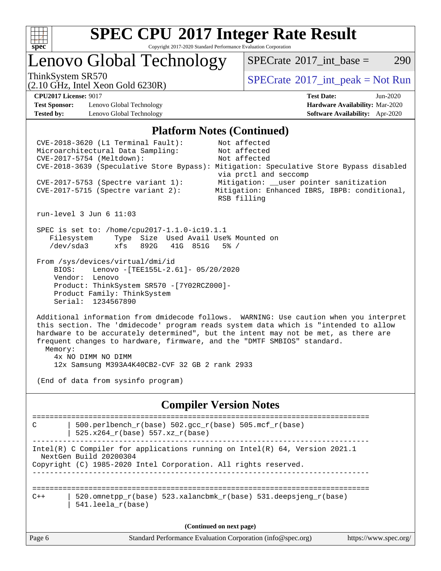

#### **[SPEC CPU](http://www.spec.org/auto/cpu2017/Docs/result-fields.html#SPECCPU2017IntegerRateResult)[2017 Integer Rate Result](http://www.spec.org/auto/cpu2017/Docs/result-fields.html#SPECCPU2017IntegerRateResult)** Copyright 2017-2020 Standard Performance Evaluation Corporation

Lenovo Global Technology

 $SPECTate^{\circledcirc}2017$  int base = 290

(2.10 GHz, Intel Xeon Gold 6230R)

ThinkSystem SR570<br>  $SPECTA = Not Run$ <br>  $SPECTA = Not Run$ 

**[Test Sponsor:](http://www.spec.org/auto/cpu2017/Docs/result-fields.html#TestSponsor)** Lenovo Global Technology **[Hardware Availability:](http://www.spec.org/auto/cpu2017/Docs/result-fields.html#HardwareAvailability)** Mar-2020 **[Tested by:](http://www.spec.org/auto/cpu2017/Docs/result-fields.html#Testedby)** Lenovo Global Technology **[Software Availability:](http://www.spec.org/auto/cpu2017/Docs/result-fields.html#SoftwareAvailability)** Apr-2020

**[CPU2017 License:](http://www.spec.org/auto/cpu2017/Docs/result-fields.html#CPU2017License)** 9017 **[Test Date:](http://www.spec.org/auto/cpu2017/Docs/result-fields.html#TestDate)** Jun-2020

#### **[Platform Notes \(Continued\)](http://www.spec.org/auto/cpu2017/Docs/result-fields.html#PlatformNotes)**

 CVE-2018-3620 (L1 Terminal Fault): Not affected Microarchitectural Data Sampling: Not affected CVE-2017-5754 (Meltdown): Not affected CVE-2018-3639 (Speculative Store Bypass): Mitigation: Speculative Store Bypass disabled via prctl and seccomp CVE-2017-5753 (Spectre variant 1): Mitigation: \_\_user pointer sanitization CVE-2017-5715 (Spectre variant 2): Mitigation: Enhanced IBRS, IBPB: conditional, RSB filling run-level 3 Jun 6 11:03 SPEC is set to: /home/cpu2017-1.1.0-ic19.1.1 Filesystem Type Size Used Avail Use% Mounted on /dev/sda3 xfs 892G 41G 851G 5% / From /sys/devices/virtual/dmi/id BIOS: Lenovo -[TEE155L-2.61]- 05/20/2020 Vendor: Lenovo Product: ThinkSystem SR570 -[7Y02RCZ000]- Product Family: ThinkSystem Serial: 1234567890 Additional information from dmidecode follows. WARNING: Use caution when you interpret this section. The 'dmidecode' program reads system data which is "intended to allow hardware to be accurately determined", but the intent may not be met, as there are frequent changes to hardware, firmware, and the "DMTF SMBIOS" standard. Memory: 4x NO DIMM NO DIMM 12x Samsung M393A4K40CB2-CVF 32 GB 2 rank 2933 (End of data from sysinfo program) **[Compiler Version Notes](http://www.spec.org/auto/cpu2017/Docs/result-fields.html#CompilerVersionNotes)** ============================================================================== C | 500.perlbench\_r(base)  $502.\text{gcc_r(base)}$  505.mcf\_r(base) | 525.x264\_r(base) 557.xz\_r(base) ------------------------------------------------------------------------------ Intel(R) C Compiler for applications running on Intel(R) 64, Version 2021.1 NextGen Build 20200304 Copyright (C) 1985-2020 Intel Corporation. All rights reserved. ------------------------------------------------------------------------------ ==============================================================================  $C++$  | 520.omnetpp\_r(base) 523.xalancbmk\_r(base) 531.deepsjeng\_r(base) | 541.leela\_r(base) **(Continued on next page)**

Page 6 Standard Performance Evaluation Corporation [\(info@spec.org\)](mailto:info@spec.org) <https://www.spec.org/>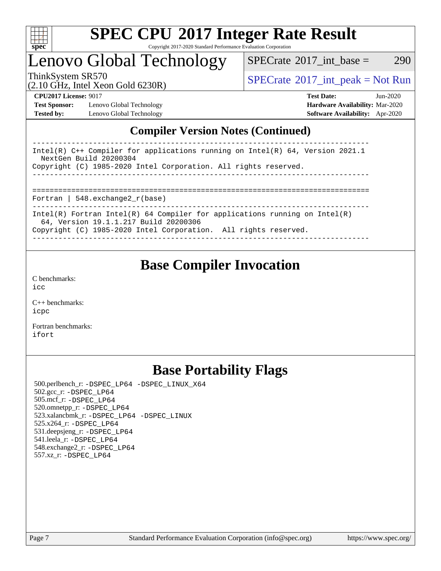

#### **[SPEC CPU](http://www.spec.org/auto/cpu2017/Docs/result-fields.html#SPECCPU2017IntegerRateResult)[2017 Integer Rate Result](http://www.spec.org/auto/cpu2017/Docs/result-fields.html#SPECCPU2017IntegerRateResult)** Copyright 2017-2020 Standard Performance Evaluation Corporation

# Lenovo Global Technology

 $SPECTate$ <sup>®</sup>[2017\\_int\\_base =](http://www.spec.org/auto/cpu2017/Docs/result-fields.html#SPECrate2017intbase) 290

(2.10 GHz, Intel Xeon Gold 6230R)

ThinkSystem SR570<br>  $(2.10 \text{ GHz}_{\text{total}} \text{ York})$  [SPECrate](http://www.spec.org/auto/cpu2017/Docs/result-fields.html#SPECrate2017intpeak)®[2017\\_int\\_peak = N](http://www.spec.org/auto/cpu2017/Docs/result-fields.html#SPECrate2017intpeak)ot Run

**[Test Sponsor:](http://www.spec.org/auto/cpu2017/Docs/result-fields.html#TestSponsor)** Lenovo Global Technology **[Hardware Availability:](http://www.spec.org/auto/cpu2017/Docs/result-fields.html#HardwareAvailability)** Mar-2020 **[Tested by:](http://www.spec.org/auto/cpu2017/Docs/result-fields.html#Testedby)** Lenovo Global Technology **[Software Availability:](http://www.spec.org/auto/cpu2017/Docs/result-fields.html#SoftwareAvailability)** Apr-2020

**[CPU2017 License:](http://www.spec.org/auto/cpu2017/Docs/result-fields.html#CPU2017License)** 9017 **[Test Date:](http://www.spec.org/auto/cpu2017/Docs/result-fields.html#TestDate)** Jun-2020

### **[Compiler Version Notes \(Continued\)](http://www.spec.org/auto/cpu2017/Docs/result-fields.html#CompilerVersionNotes)**

| Intel(R) $C++$ Compiler for applications running on Intel(R) 64, Version 2021.1<br>NextGen Build 20200304<br>Copyright (C) 1985-2020 Intel Corporation. All rights reserved.           |
|----------------------------------------------------------------------------------------------------------------------------------------------------------------------------------------|
| Fortran   $548$ . exchange $2r$ (base)                                                                                                                                                 |
| Intel(R) Fortran Intel(R) 64 Compiler for applications running on Intel(R)<br>64, Version 19.1.1.217 Build 20200306<br>Copyright (C) 1985-2020 Intel Corporation. All rights reserved. |

### **[Base Compiler Invocation](http://www.spec.org/auto/cpu2017/Docs/result-fields.html#BaseCompilerInvocation)**

[C benchmarks](http://www.spec.org/auto/cpu2017/Docs/result-fields.html#Cbenchmarks): [icc](http://www.spec.org/cpu2017/results/res2020q2/cpu2017-20200608-22751.flags.html#user_CCbase_intel_icc_66fc1ee009f7361af1fbd72ca7dcefbb700085f36577c54f309893dd4ec40d12360134090235512931783d35fd58c0460139e722d5067c5574d8eaf2b3e37e92)

[C++ benchmarks:](http://www.spec.org/auto/cpu2017/Docs/result-fields.html#CXXbenchmarks) [icpc](http://www.spec.org/cpu2017/results/res2020q2/cpu2017-20200608-22751.flags.html#user_CXXbase_intel_icpc_c510b6838c7f56d33e37e94d029a35b4a7bccf4766a728ee175e80a419847e808290a9b78be685c44ab727ea267ec2f070ec5dc83b407c0218cded6866a35d07)

[Fortran benchmarks](http://www.spec.org/auto/cpu2017/Docs/result-fields.html#Fortranbenchmarks): [ifort](http://www.spec.org/cpu2017/results/res2020q2/cpu2017-20200608-22751.flags.html#user_FCbase_intel_ifort_8111460550e3ca792625aed983ce982f94888b8b503583aa7ba2b8303487b4d8a21a13e7191a45c5fd58ff318f48f9492884d4413fa793fd88dd292cad7027ca)

## **[Base Portability Flags](http://www.spec.org/auto/cpu2017/Docs/result-fields.html#BasePortabilityFlags)**

 500.perlbench\_r: [-DSPEC\\_LP64](http://www.spec.org/cpu2017/results/res2020q2/cpu2017-20200608-22751.flags.html#b500.perlbench_r_basePORTABILITY_DSPEC_LP64) [-DSPEC\\_LINUX\\_X64](http://www.spec.org/cpu2017/results/res2020q2/cpu2017-20200608-22751.flags.html#b500.perlbench_r_baseCPORTABILITY_DSPEC_LINUX_X64) 502.gcc\_r: [-DSPEC\\_LP64](http://www.spec.org/cpu2017/results/res2020q2/cpu2017-20200608-22751.flags.html#suite_basePORTABILITY502_gcc_r_DSPEC_LP64) 505.mcf\_r: [-DSPEC\\_LP64](http://www.spec.org/cpu2017/results/res2020q2/cpu2017-20200608-22751.flags.html#suite_basePORTABILITY505_mcf_r_DSPEC_LP64) 520.omnetpp\_r: [-DSPEC\\_LP64](http://www.spec.org/cpu2017/results/res2020q2/cpu2017-20200608-22751.flags.html#suite_basePORTABILITY520_omnetpp_r_DSPEC_LP64) 523.xalancbmk\_r: [-DSPEC\\_LP64](http://www.spec.org/cpu2017/results/res2020q2/cpu2017-20200608-22751.flags.html#suite_basePORTABILITY523_xalancbmk_r_DSPEC_LP64) [-DSPEC\\_LINUX](http://www.spec.org/cpu2017/results/res2020q2/cpu2017-20200608-22751.flags.html#b523.xalancbmk_r_baseCXXPORTABILITY_DSPEC_LINUX) 525.x264\_r: [-DSPEC\\_LP64](http://www.spec.org/cpu2017/results/res2020q2/cpu2017-20200608-22751.flags.html#suite_basePORTABILITY525_x264_r_DSPEC_LP64) 531.deepsjeng\_r: [-DSPEC\\_LP64](http://www.spec.org/cpu2017/results/res2020q2/cpu2017-20200608-22751.flags.html#suite_basePORTABILITY531_deepsjeng_r_DSPEC_LP64) 541.leela\_r: [-DSPEC\\_LP64](http://www.spec.org/cpu2017/results/res2020q2/cpu2017-20200608-22751.flags.html#suite_basePORTABILITY541_leela_r_DSPEC_LP64) 548.exchange2\_r: [-DSPEC\\_LP64](http://www.spec.org/cpu2017/results/res2020q2/cpu2017-20200608-22751.flags.html#suite_basePORTABILITY548_exchange2_r_DSPEC_LP64) 557.xz\_r: [-DSPEC\\_LP64](http://www.spec.org/cpu2017/results/res2020q2/cpu2017-20200608-22751.flags.html#suite_basePORTABILITY557_xz_r_DSPEC_LP64)